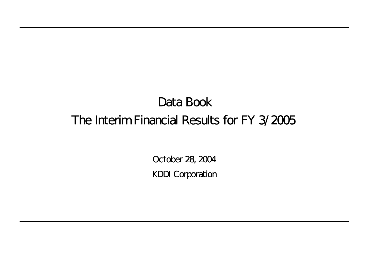# Data Book The Interim Financial Results for FY 3/2005

October 28, 2004 KDDI Corporation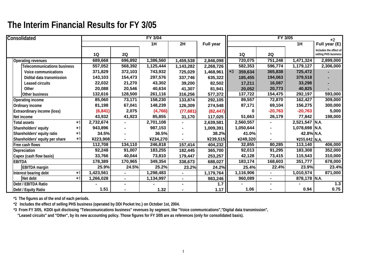| Consolidated                           |           |                | FY 3/04   |                |                  |                 |                | FY 3/05                | $*2$                                           |
|----------------------------------------|-----------|----------------|-----------|----------------|------------------|-----------------|----------------|------------------------|------------------------------------------------|
|                                        |           |                | 1H        | 2H             | <b>Full year</b> |                 |                | 1H                     | Full year $(E)$                                |
|                                        | 1Q        | 2Q             |           |                |                  | 1Q              | 2Q             |                        | Includes the effect of<br>selling PHS business |
| <b>Operating revenues</b>              | 689,668   | 696,892        | 1,386,560 | 1,459,538      | 2,846,098        | 720,075         | 751,248        | $\overline{1,471},324$ | 2,899,000                                      |
| Telecommunications business            | 557,052   | 568,392        | 1,125,444 | 1,143,282      | 2,268,726        | 582,353         | 596,774        | 1,179,127              | 2,306,000                                      |
| Voice communications                   | 371,829   | 372,103        | 743,932   | 725,029        | 1,468,961        | $*3$<br>359,634 | 365,838        | 725,472                |                                                |
| Didital data transmission              | 143,103   | 154,473        | 297,576   | 337,746        | 635,322          | 185,455         | 194,063        | 379,518                |                                                |
| <b>Leased circuits</b>                 | 22,032    | 21,270         | 43,302    | 39,200         | 82,502           | 17,211          | 16,087         | 33,298                 |                                                |
| Other                                  | 20,088    | 20,546         | 40,634    | 41,307         | 81,941           | 20,052          | 20,773         | 40,825                 |                                                |
| Other business                         | 132,616   | 128,500        | 261,116   | 316,256        | 577,372          | 137,722         | 154,475        | 292,197                | 593,000                                        |
| Operating income                       | 85,060    | 73,171         | 158,230   | 133,874        | 292,105          | 89,557          | 72,870         | 162,427                | 309,000                                        |
| Ordinary income                        | 81,198    | 67,041         | 148,239   | 126,309        | 274,548          | 87,171          | 69,104         | 156,275                | 300,000                                        |
| <b>Extraordinary income (loss)</b>     | (6, 841)  | 2,075          | (4,766)   | (77, 681)      | (82, 447)        | 0               | $-20,763$      | $-20,763$              | 5,000                                          |
| Net income                             | 43,932    | 41,923         | 85,855    | 31,170         | 117,025          | 51,663          | 26,179         | 77,842                 | 198,000                                        |
| <b>Total assets</b><br>$*1$            | 2,732,674 |                | 2,701,108 | $\blacksquare$ | 2,639,581        | 2,560,557       |                | 2,521,547 N.A.         |                                                |
| Shareholders' equity<br>*1             | 943,896   |                | 987,153   |                | 1,009,391        | 1,050,644       |                | 1,078,698 N.A.         |                                                |
| Shareholders' equity ratio<br>$*1$     | 34.5%     |                | 36.5%     |                | 38.2%            | 41.0%           |                | 42.8% N.A.             |                                                |
| $*1$<br>Shareholders' equity per share | ¥223,908  |                | ¥234,270  |                | ¥239,515         | ¥249,320        |                | ¥255,642 N.A.          |                                                |
| Free cash flows                        | 112,708   | 134,110        | 246,818   | 157,414        | 404,232          | 32,855          | 80,285         | 113,140                | 406,000                                        |
| Depreciation                           | 92,248    | 91,007         | 183,255   | 182,445        | 365,700          | 92,013          | 91,295         | 183,308                | 352,000                                        |
| Capex (cash flow basis)                | 33,766    | 40,044         | 73,810    | 179,447        | 253,257          | 42,128          | 73,415         | 115,543                | 310,000                                        |
| <b>EBITDA</b>                          | 178,389   | 170,965        | 349,354   | 338,673        | 688,027          | 183,174         | 168,603        | 351,777                | 678,000                                        |
| <b>EBITDA</b> margin                   | 25.9%     | 24.5%          | 25.2%     | 23.2%          | 24.2%            | 25.4%           | 22.4%          | 23.9%                  | 23.4%                                          |
| Interest bearing debt<br>$*1$          | 1,423,561 | $\blacksquare$ | 1,298,483 |                | 1,179,764        | 1,116,906       |                | 1,010,574              | 871,000                                        |
| Net debt<br>$*1$                       | 1,266,028 | $\blacksquare$ | 1,134,997 | $\blacksquare$ | 983,246          | 960,089         | $\blacksquare$ | 878,178 N.A.           |                                                |
| Debt / EBITDA Ratio                    |           | $\blacksquare$ |           |                | 1.7              |                 |                |                        | 1.3                                            |
| Debt / Equity Ratio                    | 1.51      |                | 1.32      |                | 1.17             | 1.06            |                | 0.94                   | 0.75                                           |

**\*1 The figures as of the end of each periods.**

**\*2 Includes the effect of selling PHS business (operated by DDI Pocket Inc.) on October 1st, 2004.**

**\*3 From FY 3/05, KDDI quit disclosing "Telecomunications business" revenues by segment, like "Voice communications","Digital data transmission",**

 **"Leased circuits" and "Other", by its new accounting policy. Those figures for FY 3/05 are as references (only for consolidated basis).**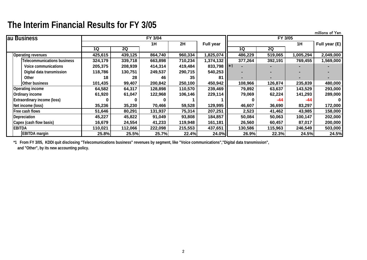millions of Yen

| au Business                        |         |         | FY 3/04 |         |                  |         | <b>FY 3/05</b> |           |               |
|------------------------------------|---------|---------|---------|---------|------------------|---------|----------------|-----------|---------------|
|                                    |         |         | 1H      | 2H      | <b>Full year</b> |         |                | 1H        | Full year (E) |
|                                    | 1Q      | 2Q      |         |         |                  | 1Q      | 2Q             |           |               |
| <b>Operating revenues</b>          | 425,615 | 439,125 | 864,740 | 960,334 | 1,825,074        | 486,229 | 519,065        | 1,005,294 | 2,049,000     |
| <b>Telecommunications business</b> | 324,179 | 339,718 | 663,898 | 710,234 | 1,374,132        | 377,264 | 392,191        | 769,455   | 1,569,000     |
| Voice communications               | 205,375 | 208,939 | 414,314 | 419,484 | 833,798          |         |                |           |               |
| Digital data transmission          | 118,786 | 130,751 | 249,537 | 290,715 | 540,253          |         |                |           |               |
| Other                              | 18      | 28      | 46      | 35      | 81               |         |                |           |               |
| Other business                     | 101,435 | 99,407  | 200,842 | 250,100 | 450,942          | 108,966 | 126,874        | 235,839   | 480,000       |
| Operating income                   | 64,582  | 64,317  | 128,898 | 110,570 | 239,469          | 79,892  | 63,637         | 143,529   | 293,000       |
| Ordinary income                    | 61,920  | 61,047  | 122,968 | 106,146 | 229,114          | 79,069  | 62,224         | 141,293   | 289,000       |
| <b>Extraordinary income (loss)</b> |         |         |         |         |                  |         | -44            | $-44$     |               |
| Net income (loss)                  | 35,236  | 35,230  | 70,466  | 59,528  | 129,995          | 46,607  | 36,690         | 83,297    | 172,000       |
| Free cash flows                    | 51,646  | 80,291  | 131,937 | 75,314  | 207,251          | 2,523   | 41,462         | 43,985    | 158,000       |
| Depreciation                       | 45,227  | 45,822  | 91,049  | 93,808  | 184,857          | 50,084  | 50,063         | 100,147   | 202,000       |
| Capex (cash flow basis)            | 16,679  | 24,554  | 41,233  | 119,948 | 161,181          | 26,560  | 60,457         | 87,017    | 200,000       |
| <b>EBITDA</b>                      | 110,021 | 112,066 | 222,098 | 215,553 | 437,651          | 130,586 | 115,963        | 246,549   | 503,000       |
| <b>EBITDA</b> margin               | 25.8%   | 25.5%   | 25.7%   | 22.4%   | 24.0%            | 26.9%   | 22.3%          | 24.5%     | 24.5%         |

**\*1 From FY 3/05, KDDI quit disclosing "Telecomunications business" revenues by segment, like "Voice communications","Digital data transmission", and "Other", by its new accounting policy.**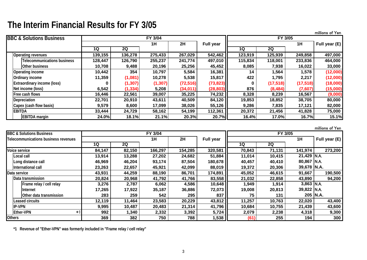|                                     |         |          |                |           |                  |         |           |           | millions of Yen |
|-------------------------------------|---------|----------|----------------|-----------|------------------|---------|-----------|-----------|-----------------|
| <b>BBC &amp; Solutions Business</b> |         |          | <b>FY 3/04</b> |           |                  |         | FY 3/05   |           |                 |
|                                     |         |          | 1H             | 2H        | <b>Full year</b> |         |           | 1H        | Full year (E)   |
|                                     | 1Q      | 2Q       |                |           |                  | 1Q      | 2Q        |           |                 |
| <b>Operating revenues</b>           | 139,155 | 136,278  | 275,433        | 267,029   | 542,462          | 123,919 | 125,939   | 249,858   | 497,000         |
| <b>Telecommunications business</b>  | 128,447 | 126,790  | 255,237        | 241,774   | 497,010          | 115,834 | 118,001   | 233,836   | 464,000         |
| Other business                      | 10,708  | 9,488    | 20,196         | 25,256    | 45,452           | 8,085   | 7,938     | 16,022    | 33,000          |
| <b>Operating income</b>             | 10,442  | 354      | 10,797         | 5,584     | 16,381           | 14      | 1,564     | 1,578     | (12,000)        |
| Ordinary income                     | 11,359  | (1,081)  | 10,278         | 5,538     | 15,817           | 422     | 1,795     | 2,217     | (12,000)        |
| <b>Extraordinary income (loss)</b>  | 0       | (1, 307) | (1, 307)       | (72, 516) | (73, 823)        | 0       | (17, 518) | (17, 518) | (18,000)        |
| Net income (loss)                   | 6,542   | (1, 334) | 5,208          | (34,011)  | (28, 803)        | 876     | (8, 484)  | (7,607)   | (15,000)        |
| Free cash flows                     | 16,446  | 22,561   | 39,007         | 35,225    | 74,232           | 8,328   | 8,239     | 16,567    | (9,000)         |
| Depreciation                        | 22,701  | 20,910   | 43,611         | 40,509    | 84,120           | 19,853  | 18,852    | 38,705    | 80,000          |
| Capex (cash flow basis)             | 9,579   | 8,600    | 17,099         | 38,026    | 55,126           | 9,286   | 7,835     | 17,121    | 82,000          |
| <b>EBITDA</b>                       | 33,444  | 24,729   | 58,162         | 54,199    | 112,361          | 20,372  | 21,456    | 41,828    | 75,000          |
| <b>EBITDA</b> margin                | 24.0%   | 18.1%    | 21.1%          | 20.3%     | 20.7%            | 16.4%   | 17.0%     | 16.7%     | 15.1%           |

|                                      |        |           |         |         |                  |        |         |              | millions of Yen |
|--------------------------------------|--------|-----------|---------|---------|------------------|--------|---------|--------------|-----------------|
| <b>BBC &amp; Solutions Business</b>  |        |           | FY 3/04 |         |                  |        | FY 3/05 |              |                 |
| Telecommunications business revenues |        |           | 1H      | 2H      | <b>Full year</b> |        |         | 1H           | Full year (E)   |
|                                      | 1Q     | <b>2Q</b> |         |         |                  | 1Q     | 2Q      |              |                 |
| Voice service                        | 84,147 | 82,150    | 166,297 | 154,285 | 320,581          | 70,843 | 71,131  | 141,974      | 273,200         |
| Local call                           | 13,914 | 13,288    | 27,202  | 24,682  | 51,884           | 11,014 | 10,415  | 21,429 N.A.  |                 |
| Long distance call                   | 46,969 | 46,204    | 93,174  | 87,504  | 180,678          | 40,457 | 40,410  | 80,867 N.A.  |                 |
| International call                   | 23,263 | 22,657    | 45,921  | 42,099  | 88,019           | 19,372 | 20,306  | 39,678 N.A.  |                 |
| Data service                         | 43,931 | 44,259    | 88,190  | 86,701  | 174,891          | 45,052 | 46,615  | 91,667       | 190,500         |
| Data transmission                    | 20,824 | 20,968    | 41,792  | 41,766  | 83,558           | 21,032 | 22,858  | 43,890       | 94,200          |
| Frame relay / cell relay             | 3,276  | 2,787     | 6,062   | 4,586   | 10,648           | 1,949  | 1,914   | $3,863$ N.A. |                 |
| Internet                             | 17,265 | 17,922    | 35,187  | 36,886  | 72,073           | 19,008 | 20,813  | 39,822 N.A.  |                 |
| Other data transmission              | 283    | 259       | 542     | 295     | 837              | 75     | 131     |              | 205   N.A.      |
| Leased circuits                      | 12,119 | 11,464    | 23,583  | 20,229  | 43,812           | 11,257 | 10,763  | 22,020       | 43,400          |
| <b>IP-VPN</b>                        | 9,995  | 10,487    | 20,483  | 21,314  | 41,796           | 10,684 | 10,755  | 21,439       | 43,600          |
| <b>Ether-VPN</b><br>*1               | 992    | 1,340     | 2,332   | 3,392   | 5,724            | 2,079  | 2,238   | 4,318        | 9,300           |
| <b>Others</b>                        | 369    | 382       | 750     | 788     | 1,538            | (61)   | 255     | 194          | 300             |

**\*1 Revenue of "Ether-VPN" was formerly included in "Frame relay / cell relay"**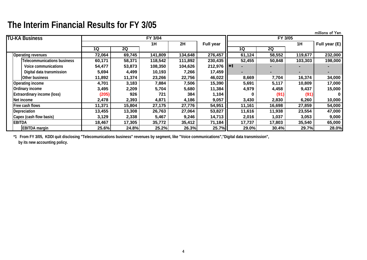millions of Yen **TU-KA Business1H 2H Full year 1H Full year (E) 1Q 2Q 1Q 2QOperating revenues 72,064 69,745 141,809 134,648 276,457 61,124 58,552 119,677 232,000 Telecommunications business 60,171 58,371 118,542 111,892 230,435 52,455 50,848 103,303 198,000 Voice communications 54,477 53,873 108,350 104,626 212,976 ---- Digital data transmission 5,694 4,499 10,193 7,266 17,459 ---- Other business 11,892 11,374 23,266 22,756 46,022 8,669 7,704 16,374 34,000 Operating income 4,701 3,183 7,884 7,506 15,390 5,691 5,117 10,809 17,000 Ordinary income 3,495 2,209 5,704 5,680 11,384 4,979 4,458 9,437 15,000 Extraordinary income (loss) (205) 926 721 384 1,104 0 (91) (91) 0Net income 2,478 2,393 4,871 4,186 9,057 3,430 2,830 6,260 10,000 Free cash flows 11,371 15,804 27,175 27,776 54,951 11,161 16,698 27,859 54,000 Depreciation 13,455 13,308 26,763 27,064 53,827 11,616 11,938 23,554 47,000 Capex (cash flow basis) 3,129 2,338 5,467 9,246 14,713 2,016 1,037 3,053 9,000 EBITDA 18,467 17,305 35,772 35,412 71,184 17,737 17,803 35,540 65,000 EBITDA margin 25.6% 24.8% 25.2% 26.3% 25.7% 29.0% 30.4% 29.7% 28.0% FY 3/04 FY 3/05** \*1\*1

**\*1 From FY 3/05, KDDI quit disclosing "Telecomunications business" revenues by segment, like "Voice communications","Digital data transmission",**

 **by its new accounting policy.**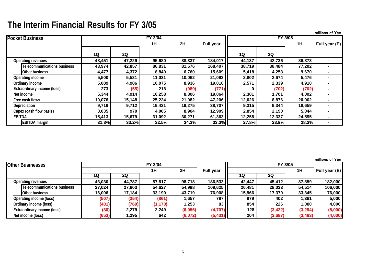|                                    |        |        |                |        |                  |           |         |        | millions of Yen |
|------------------------------------|--------|--------|----------------|--------|------------------|-----------|---------|--------|-----------------|
| <b>Pocket Business</b>             |        |        | <b>FY 3/04</b> |        |                  |           | FY 3/05 |        |                 |
|                                    |        |        | 1H             | 2H     | <b>Full year</b> |           |         | 1H     | Full year (E)   |
|                                    | 1Q     | 2Q     |                |        |                  | <b>1Q</b> | 2Q      |        |                 |
| Operating revenues                 | 48,451 | 47,229 | 95,680         | 88,337 | 184,017          | 44,137    | 42,736  | 86,873 |                 |
| Telecommunications business        | 43,974 | 42,857 | 86,831         | 81,576 | 168,407          | 38,719    | 38,484  | 77,202 |                 |
| Other business                     | 4,477  | 4,372  | 8,849          | 6,760  | 15,609           | 5,418     | 4,253   | 9,670  |                 |
| Operating income                   | 5,500  | 5,531  | 11,031         | 10,062 | 21,093           | 2,802     | 2,674   | 5,476  |                 |
| Ordinary income                    | 5,089  | 4,986  | 10,075         | 8,936  | 19,010           | 2,571     | 2,339   | 4,910  |                 |
| <b>Extraordinary income (loss)</b> | 273    | (55)   | 218            | (989)  | (771)            |           | (702)   | (702)  |                 |
| Net income                         | 5,344  | 4,914  | 10,258         | 8,806  | 19,064           | 2,301     | 1,701   | 4,002  |                 |
| Free cash fiows                    | 10,076 | 15,148 | 25,224         | 21,982 | 47,206           | 12,026    | 8,876   | 20,902 |                 |
| Depreciation                       | 9,719  | 9,712  | 19,431         | 19,275 | 38,707           | 9,315     | 9,344   | 18,659 |                 |
| Capex (cash flow basis)            | 3,035  | 970    | 4,005          | 8,904  | 12,909           | 2,854     | 2,190   | 5,044  |                 |
| <b>EBITDA</b>                      | 15,413 | 15,679 | 31,092         | 30,271 | 61,363           | 12,258    | 12,337  | 24,595 |                 |
| <b>EBITDA</b> margin               | 31.8%  | 33.2%  | 32.5%          | 34.3%  | 33.3%            | 27.8%     | 28.9%   | 28.3%  |                 |

millions of Yen

| <b>Other Businesses</b>            |        |        | FY 3/04  |         |                  |        |           | FY 3/05  |               |
|------------------------------------|--------|--------|----------|---------|------------------|--------|-----------|----------|---------------|
|                                    |        |        | 1H       | 2H      | <b>Full year</b> |        |           | 1H       | Full year (E) |
|                                    | 1Q     | 2Q     |          |         |                  | 1Q     | <b>2Q</b> |          |               |
| <b>Operating revenues</b>          | 43,030 | 44,787 | 87,817   | 98,718  | 186,533          | 42,447 | 45,412    | 87,859   | 182,000       |
| Telecommunications business        | 27,024 | 27,603 | 54,627   | 54,998  | 109,625          | 26,481 | 28,033    | 54,514   | 106,000       |
| Other business                     | 16,006 | 17,184 | 33,190   | 43,719  | 76,908           | 15,966 | 17,379    | 33,345   | 76,000        |
| Operating income (loss)            | (507)  | (354)  | (861)    | 1,657   | 797              | 979    | 402       | 1,381    | 5,000         |
| Ordinary income (loss)             | (401)  | (769)  | (1, 170) | 1,253   | 83 <sub>1</sub>  | 854    | 226       | 1,080    | 4,000         |
| <b>Extraordinary income (loss)</b> | (30)   | 2,279  | 2,249    | (6,956) | (4,707)          | 128    | (3, 422)  | (3,294)  | (5,000)       |
| Net income (loss)                  | (653)  | 295, ا | 642      | (6,072) | (5, 431)         | 204    | (3,687)   | (3, 483) | (4,000)       |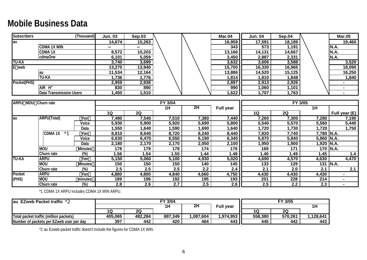#### **Mobile Business Data**

| <b>Subscribers</b> | (Thousand)                     | <b>Jun. 03</b> | <b>Sep.03</b> |  | <b>Mar.04</b> | <b>Jun. 04</b> | Sep.04 | <b>Mar.05</b> |
|--------------------|--------------------------------|----------------|---------------|--|---------------|----------------|--------|---------------|
| <b>l</b> au        |                                | 14,674         | 15,263        |  | 16,959        | 17,591         | 18,189 | 19,460        |
|                    | <b>CDMA 1X WIN</b>             |                |               |  | 343           | 573            | 191,   | IN.A.         |
|                    | <b>CDMA1X</b>                  | 8,572          | 10,203        |  | 13,166        | 14,131         | 14,667 | N.A.          |
|                    | cdmaOne                        | 6,101          | 5,059         |  | 3,450         | 2,887          | 2,331  | IN.A.         |
| <b>TU-KA</b>       |                                | 3,740          | 3,699         |  | 3,632         | 3,606          | 3,588  | 3,520         |
| web                |                                | 13,270         | 13,940        |  | 15,700        | 16,330         | 16,965 | 18,090        |
|                    | lau                            | 11,534         | 12,164        |  | 13,886        | 14,520         | 15,125 | 16,250        |
|                    | <b>TU-KA</b>                   | ,736           | 1,776         |  | 814,ا         | 810,ا          | 1,848  | 840,ا         |
| Pocket(PHS)        |                                | 2,959          | 2,938         |  | 2,897         | 2,913          | 2,926  |               |
|                    | AIR H"                         | 830            | 890           |  | 990           | .060           | 1,101  |               |
|                    | <b>Data Transmission Users</b> | 450, ا         | 1,510         |  | I,622         | ,707           | ,763   |               |

| ARPU         | MOU Churn rate        |                |       |       | <b>FY 3/04</b> |        |                  |       | FY 3/05 |              |               |
|--------------|-----------------------|----------------|-------|-------|----------------|--------|------------------|-------|---------|--------------|---------------|
|              |                       |                |       |       | 1H             | 2H     | <b>Full year</b> |       |         | 1H           |               |
|              |                       |                | 1Q    | 2Q    |                |        |                  | 1Q    | 2Q      |              | Full year (E) |
| lau          | ARPU(Total)           | Yen            | 7,480 | 7,540 | 7,510          | 7,380  | 7,440            | 7,260 | 7,300   | 7,280        | 7,190         |
|              |                       | Voice          | 5,930 | 5,900 | 5,920          | 5,690  | 5,800            | 5,540 | 5,570   | 5,560        | 5,440         |
|              |                       | Data           | ,550  | ,640  | ,590           | 690, ا | 1,640            | ,720  | ,730    | ,720         | 1,750         |
|              | <b>CDMA1X</b><br>$*1$ | Yen            | 8,810 | 8,640 | 8,720          | 8,240  | 8,440            | 7,820 | 7,740   | 7,780 N.A.   |               |
|              |                       | Voice          | 6,630 | 6,470 | 6,550          | 6,190  | 6,340            | 5,870 | 5,840   | $5,860$ N.A. |               |
|              |                       | Data           | 2,180 | 2,170 | 2,170          | 2,050  | 2,100            | ,950  | 900, ا  |              | .920 N.A.     |
|              | <b>MOU</b>            | <b>Minutes</b> | 178   | 179   | 178            | 174    | 176              | 169   | 171     |              | 170 N.A.      |
|              | Churn rate            | $(\%)$         | .56   | 1.54  | 1.55           | 1.44   | 1.49             | 1.40  | 49. ا   | 1.45         | 1.4           |
| <b>TU-KA</b> | <b>ARPU</b>           | Yen            | 5,150 | 5,060 | 5,100          | 4,930  | 5,020            | 4,690 | 4,570   | 4,630        | 4,470         |
|              | <b>MOU</b>            | <b>Minutes</b> | 150   | 150   | 150            | 140    | 145              | 133   | 129     |              | 131 N.A.      |
|              | Churn rate            | $(\%)$         | 2.5   | 2.5   | 2.5            | 2.2    | 2.4              | 2.1   | 2.0     | 2.1          | 2.1           |
| Pocket       | <b>ARPU</b>           | Yen            | 4,880 | 4,800 | 4,840          | 4,660  | 4,750            | 4,430 | 4,430   | 4,430        |               |
| (PHS)        | <b>MOU</b>            | minutes        | 189   | 196   | 192            | 195    | 193              | 201   | 228     | 214          |               |
|              | Churn rate            | $(\%)$         | 2.8   | 2.6   | 2.7            | 2.5    | 2.6              | 2.5   | 2.2     | 2.3          |               |

\*1 CDMA 1X ARPU includes CDMA 1X WIN ARPU.

| <b>Jau EZweb Packet traffic *2</b>       |         |         | <b>FY 3/04</b> |          |                  |         | FY 3/05 |          |  |
|------------------------------------------|---------|---------|----------------|----------|------------------|---------|---------|----------|--|
|                                          |         |         | 1H             | 2H       | <b>Full year</b> |         |         |          |  |
|                                          |         | 2Q      |                |          |                  | 1C      | 2C      |          |  |
| Total packet traffic (million packets)   | 405,065 | 482,284 | 887,349        | ,087,604 | 1,974,953        | 558,380 | 570,261 | ,128,641 |  |
| Number of packets per EZweb user per day | 397     | 442     | 420            | 464      | 443              | 445     | 442     | 443      |  |

\*2 au Ezweb packet traffic doesn't include the figures for CDMA 1X WIN.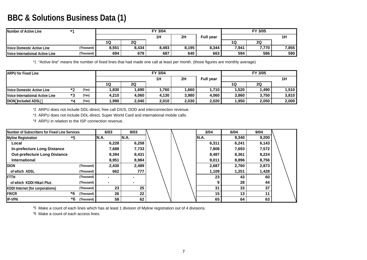#### **BBC & Solutions Business Data (1)**

| Number of Active Line            | $*1$       |       |                | FY 3/04 |       |                  |       | FY 3/05 |       |
|----------------------------------|------------|-------|----------------|---------|-------|------------------|-------|---------|-------|
|                                  |            |       |                | 1H      | 2H    | <b>Full year</b> |       |         | 1Η    |
|                                  |            | 1Q    | 2 <sub>Q</sub> |         |       |                  | 1Q    | 2Q      |       |
| Voice Domestic Active Line       | (Thousand) | 8,551 | 8,434          | 8,493   | 8,195 | 8,344            | 7,941 | 7,770   | 7,855 |
| Voice Internatioinal Active Line | (Thousand) | 694   | 679            | 687     | 640   | 663              | 594   | 586     | 590   |

\*1 "Active line" means the number of fixed lines that had made one call at least per month. (those figures are monthly average)

| <b>ARPU for Fixed Line</b>       |      |       |       |       | FY 3/04 |       | FY 3/05          |       |       |       |  |
|----------------------------------|------|-------|-------|-------|---------|-------|------------------|-------|-------|-------|--|
|                                  |      |       |       |       | 1H      | 2H    | <b>Full year</b> |       |       |       |  |
|                                  |      |       | 1Q    | 2Q    |         |       |                  | 1Q    | 2Q    |       |  |
| Voice Domestic Active Line       | $*$  | (Yen) | .830  | 1.690 | 1.760   | ,660  | <b>710.،</b>     | 1,520 | 1,490 | 1,510 |  |
| Voice Internatioinal Active Line | $*2$ | (Yen) | 4,210 | 4.060 | 4,130   | 3,980 | 4,060            | 3.860 | 3,750 | 3,810 |  |
| <b>IDION</b><br>included ADSL    | *4   | (Yen) | ,990  | 2,040 | 2,010   | 2,030 | 2,020            | 1,950 | 2,050 | 2,000 |  |

\*2 ARPU does not include DDL-direct, free call DX/S, DOD and interconnection revenue.

\*3 ARPU does not include DDL-direct, Super World Card and international mobile calls.

\*4 ARPU in relation to the ISP connection revenue.

| Number of Subscribers for Fixed Line Services |    |            | 6/03  | 9/03  |  | 3/04        | 6/04  | 9/04  |  |
|-----------------------------------------------|----|------------|-------|-------|--|-------------|-------|-------|--|
| <b>Myline Registration</b>                    | *5 |            | IN.A. | N.A.  |  | <b>N.A.</b> | 9,340 | 9,200 |  |
| Local                                         |    |            | 6,228 | 6,258 |  | 6,311       | 6,241 | 6,143 |  |
| <b>In-prefecture Long Distance</b>            |    |            | 7,688 | 7,733 |  | 7,808       | 7,693 | 7,572 |  |
| <b>Out-prefecture Long Distance</b>           |    |            | 8,394 | 8,431 |  | 8,487       | 8,361 | 8,224 |  |
| <b>International</b>                          |    |            | 8,951 | 8,984 |  | 9,011       | 8,896 | 8,756 |  |
| <b>DION</b>                                   |    | (Thousand) | 2,430 | 2,489 |  | 2,687       | 2,760 | 2,873 |  |
| of which ADSL                                 |    | (Thousand) | 662   | 777   |  | 1,109       | 1,251 | 1,428 |  |
| FTTH                                          |    | (Thousand) | ۰     |       |  | 23          | 43    | 60    |  |
| of which KDDI Hikari Plus                     |    | (Thousand) | ٠     |       |  | 9           | 28    | 44    |  |
| <b>KDDI</b> Internet (for corporations)       |    | (Thousand) | 23    | 25    |  | 31          | 33    | 37    |  |
| <b>FR/CR</b>                                  | *6 | (Thousand) | 26    | 22    |  | 15          | 13    | 11    |  |
| <b>IP-VPN</b>                                 | *6 | (Thousand) | 58    | 62    |  | 65          | 64    | 63    |  |

\*5 Make a count of each lines which has at least 1 division of Myline registration out of 4 divisions.

\*6 Make a count of each access lines.